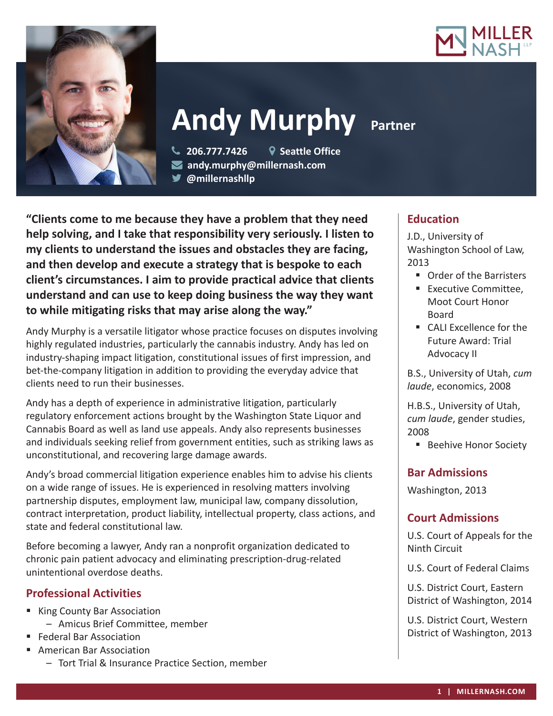



# **Andy Murphy Partner**

 **206.777.7426 Seattle Office andy.murphy@millernash.com @millernashllp**

**"Clients come to me because they have a problem that they need help solving, and I take that responsibility very seriously. I listen to my clients to understand the issues and obstacles they are facing, and then develop and execute a strategy that is bespoke to each client's circumstances. I aim to provide practical advice that clients understand and can use to keep doing business the way they want to while mitigating risks that may arise along the way."**

Andy Murphy is a versatile litigator whose practice focuses on disputes involving highly regulated industries, particularly the cannabis industry. Andy has led on industry-shaping impact litigation, constitutional issues of first impression, and bet-the-company litigation in addition to providing the everyday advice that clients need to run their businesses.

Andy has a depth of experience in administrative litigation, particularly regulatory enforcement actions brought by the Washington State Liquor and Cannabis Board as well as land use appeals. Andy also represents businesses and individuals seeking relief from government entities, such as striking laws as unconstitutional, and recovering large damage awards.

Andy's broad commercial litigation experience enables him to advise his clients on a wide range of issues. He is experienced in resolving matters involving partnership disputes, employment law, municipal law, company dissolution, contract interpretation, product liability, intellectual property, class actions, and state and federal constitutional law.

Before becoming a lawyer, Andy ran a nonprofit organization dedicated to chronic pain patient advocacy and eliminating prescription-drug-related unintentional overdose deaths.

# **Professional Activities**

- King County Bar Association
- Amicus Brief Committee, member
- Federal Bar Association
- American Bar Association
	- Tort Trial & Insurance Practice Section, member

# **Education**

J.D., University of Washington School of Law, 2013

- Order of the Barristers
- **Executive Committee,** Moot Court Honor Board
- CALL Excellence for the Future Award: Trial Advocacy II

B.S., University of Utah, *cum laude*, economics, 2008

H.B.S., University of Utah, *cum laude*, gender studies, 2008

**Beehive Honor Society** 

# **Bar Admissions**

Washington, 2013

# **Court Admissions**

U.S. Court of Appeals for the Ninth Circuit

U.S. Court of Federal Claims

U.S. District Court, Eastern District of Washington, 2014

U.S. District Court, Western District of Washington, 2013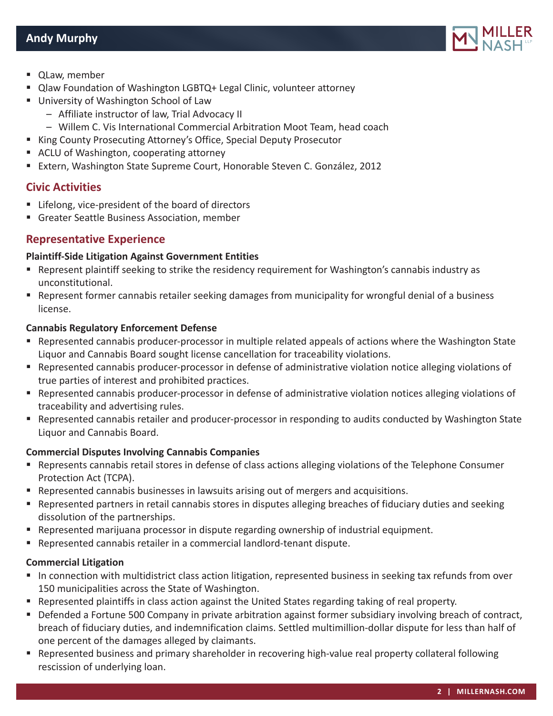

- **QLaw, member**
- Qlaw Foundation of Washington LGBTQ+ Legal Clinic, volunteer attorney
- **University of Washington School of Law** 
	- Affiliate instructor of law, Trial Advocacy II
		- Willem C. Vis International Commercial Arbitration Moot Team, head coach
- King County Prosecuting Attorney's Office, Special Deputy Prosecutor
- ACLU of Washington, cooperating attorney
- Extern, Washington State Supreme Court, Honorable Steven C. González, 2012

## **Civic Activities**

- Lifelong, vice-president of the board of directors
- Greater Seattle Business Association, member

## **Representative Experience**

### **Plaintiff-Side Litigation Against Government Entities**

- Represent plaintiff seeking to strike the residency requirement for Washington's cannabis industry as unconstitutional.
- Represent former cannabis retailer seeking damages from municipality for wrongful denial of a business license.

### **Cannabis Regulatory Enforcement Defense**

- Represented cannabis producer-processor in multiple related appeals of actions where the Washington State Liquor and Cannabis Board sought license cancellation for traceability violations.
- Represented cannabis producer-processor in defense of administrative violation notice alleging violations of true parties of interest and prohibited practices.
- Represented cannabis producer-processor in defense of administrative violation notices alleging violations of traceability and advertising rules.
- **EXECT** Represented cannabis retailer and producer-processor in responding to audits conducted by Washington State Liquor and Cannabis Board.

## **Commercial Disputes Involving Cannabis Companies**

- Represents cannabis retail stores in defense of class actions alleging violations of the Telephone Consumer Protection Act (TCPA).
- **Represented cannabis businesses in lawsuits arising out of mergers and acquisitions.**
- Represented partners in retail cannabis stores in disputes alleging breaches of fiduciary duties and seeking dissolution of the partnerships.
- **Represented marijuana processor in dispute regarding ownership of industrial equipment.**
- Represented cannabis retailer in a commercial landlord-tenant dispute.

#### **Commercial Litigation**

- In connection with multidistrict class action litigation, represented business in seeking tax refunds from over 150 municipalities across the State of Washington.
- Represented plaintiffs in class action against the United States regarding taking of real property.
- Defended a Fortune 500 Company in private arbitration against former subsidiary involving breach of contract, breach of fiduciary duties, and indemnification claims. Settled multimillion-dollar dispute for less than half of one percent of the damages alleged by claimants.
- Represented business and primary shareholder in recovering high-value real property collateral following rescission of underlying loan.